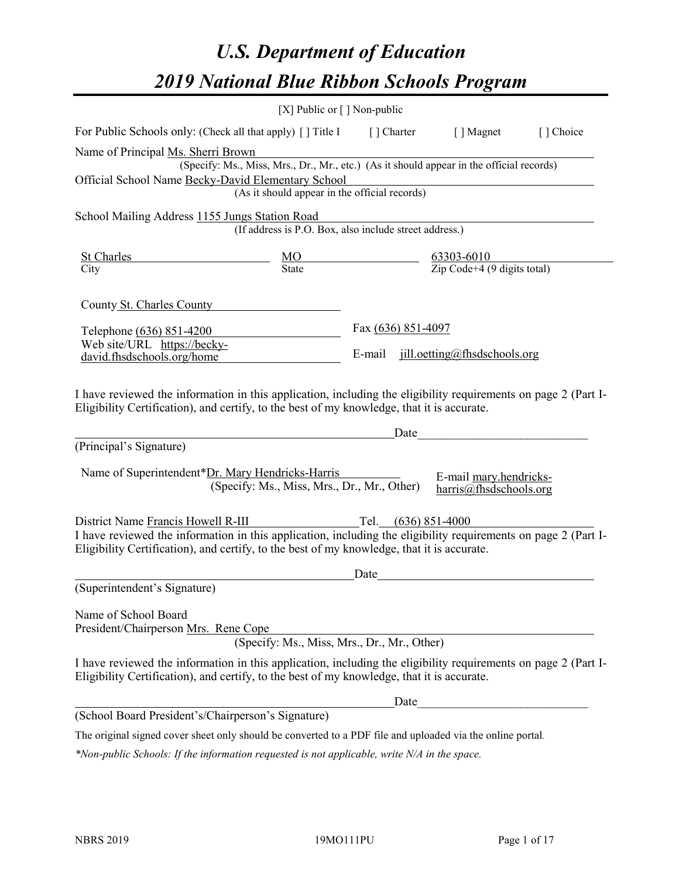# *U.S. Department of Education 2019 National Blue Ribbon Schools Program*

|                                                                                                                                                                                                              | [X] Public or $\lceil$ ] Non-public                    |                    |            |                                                                                          |           |
|--------------------------------------------------------------------------------------------------------------------------------------------------------------------------------------------------------------|--------------------------------------------------------|--------------------|------------|------------------------------------------------------------------------------------------|-----------|
| For Public Schools only: (Check all that apply) [] Title I                                                                                                                                                   |                                                        |                    | [] Charter | [ ] Magnet                                                                               | [] Choice |
| Name of Principal Ms. Sherri Brown                                                                                                                                                                           |                                                        |                    |            |                                                                                          |           |
|                                                                                                                                                                                                              |                                                        |                    |            | (Specify: Ms., Miss, Mrs., Dr., Mr., etc.) (As it should appear in the official records) |           |
| Official School Name Becky-David Elementary School                                                                                                                                                           |                                                        |                    |            |                                                                                          |           |
|                                                                                                                                                                                                              | (As it should appear in the official records)          |                    |            |                                                                                          |           |
| School Mailing Address 1155 Jungs Station Road                                                                                                                                                               |                                                        |                    |            |                                                                                          |           |
|                                                                                                                                                                                                              | (If address is P.O. Box, also include street address.) |                    |            |                                                                                          |           |
| <b>St Charles</b>                                                                                                                                                                                            |                                                        |                    |            |                                                                                          |           |
| City                                                                                                                                                                                                         | $\frac{MO}{State}$                                     |                    |            | $\frac{63303-6010}{\text{Zip Code}+4 (9 digits total)}$                                  |           |
| County St. Charles County                                                                                                                                                                                    |                                                        |                    |            |                                                                                          |           |
| Telephone (636) 851-4200                                                                                                                                                                                     |                                                        | Fax (636) 851-4097 |            |                                                                                          |           |
| Web site/URL https://becky-                                                                                                                                                                                  |                                                        |                    |            |                                                                                          |           |
| david.fhsdschools.org/home                                                                                                                                                                                   |                                                        |                    |            | E-mail jill.oetting@fhsdschools.org                                                      |           |
| Eligibility Certification), and certify, to the best of my knowledge, that it is accurate.                                                                                                                   |                                                        |                    | Date       |                                                                                          |           |
| (Principal's Signature)                                                                                                                                                                                      |                                                        |                    |            |                                                                                          |           |
| Name of Superintendent*Dr. Mary Hendricks-Harris                                                                                                                                                             | (Specify: Ms., Miss, Mrs., Dr., Mr., Other)            |                    |            | E-mail mary.hendricks-<br>harris@fhsdschools.org                                         |           |
| District Name Francis Howell R-III                                                                                                                                                                           |                                                        |                    |            | Tel. $(636)$ 851-4000                                                                    |           |
| I have reviewed the information in this application, including the eligibility requirements on page 2 (Part I-                                                                                               |                                                        |                    |            |                                                                                          |           |
| Eligibility Certification), and certify, to the best of my knowledge, that it is accurate.                                                                                                                   |                                                        |                    |            |                                                                                          |           |
| (Superintendent's Signature)                                                                                                                                                                                 |                                                        | Date               |            |                                                                                          |           |
|                                                                                                                                                                                                              |                                                        |                    |            |                                                                                          |           |
| Name of School Board                                                                                                                                                                                         |                                                        |                    |            |                                                                                          |           |
| President/Chairperson Mrs. Rene Cope                                                                                                                                                                         |                                                        |                    |            |                                                                                          |           |
|                                                                                                                                                                                                              | (Specify: Ms., Miss, Mrs., Dr., Mr., Other)            |                    |            |                                                                                          |           |
| I have reviewed the information in this application, including the eligibility requirements on page 2 (Part I-<br>Eligibility Certification), and certify, to the best of my knowledge, that it is accurate. |                                                        |                    |            |                                                                                          |           |
|                                                                                                                                                                                                              |                                                        |                    | Date       |                                                                                          |           |
| (School Board President's/Chairperson's Signature)                                                                                                                                                           |                                                        |                    |            |                                                                                          |           |
| The original signed cover sheet only should be converted to a PDF file and uploaded via the online portal.                                                                                                   |                                                        |                    |            |                                                                                          |           |

*\*Non-public Schools: If the information requested is not applicable, write N/A in the space.*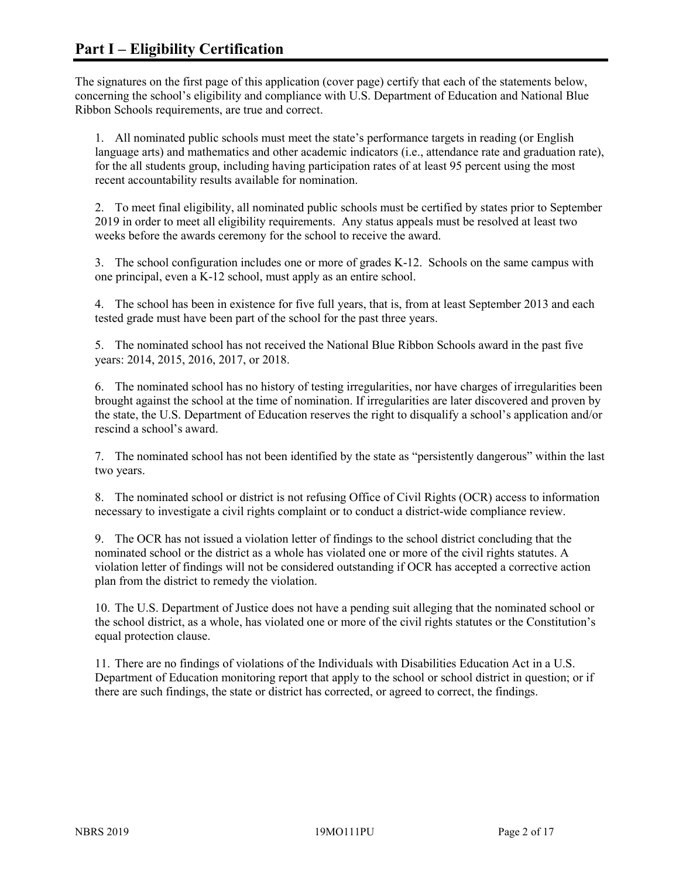The signatures on the first page of this application (cover page) certify that each of the statements below, concerning the school's eligibility and compliance with U.S. Department of Education and National Blue Ribbon Schools requirements, are true and correct.

1. All nominated public schools must meet the state's performance targets in reading (or English language arts) and mathematics and other academic indicators (i.e., attendance rate and graduation rate), for the all students group, including having participation rates of at least 95 percent using the most recent accountability results available for nomination.

2. To meet final eligibility, all nominated public schools must be certified by states prior to September 2019 in order to meet all eligibility requirements. Any status appeals must be resolved at least two weeks before the awards ceremony for the school to receive the award.

3. The school configuration includes one or more of grades K-12. Schools on the same campus with one principal, even a K-12 school, must apply as an entire school.

4. The school has been in existence for five full years, that is, from at least September 2013 and each tested grade must have been part of the school for the past three years.

5. The nominated school has not received the National Blue Ribbon Schools award in the past five years: 2014, 2015, 2016, 2017, or 2018.

6. The nominated school has no history of testing irregularities, nor have charges of irregularities been brought against the school at the time of nomination. If irregularities are later discovered and proven by the state, the U.S. Department of Education reserves the right to disqualify a school's application and/or rescind a school's award.

7. The nominated school has not been identified by the state as "persistently dangerous" within the last two years.

8. The nominated school or district is not refusing Office of Civil Rights (OCR) access to information necessary to investigate a civil rights complaint or to conduct a district-wide compliance review.

9. The OCR has not issued a violation letter of findings to the school district concluding that the nominated school or the district as a whole has violated one or more of the civil rights statutes. A violation letter of findings will not be considered outstanding if OCR has accepted a corrective action plan from the district to remedy the violation.

10. The U.S. Department of Justice does not have a pending suit alleging that the nominated school or the school district, as a whole, has violated one or more of the civil rights statutes or the Constitution's equal protection clause.

11. There are no findings of violations of the Individuals with Disabilities Education Act in a U.S. Department of Education monitoring report that apply to the school or school district in question; or if there are such findings, the state or district has corrected, or agreed to correct, the findings.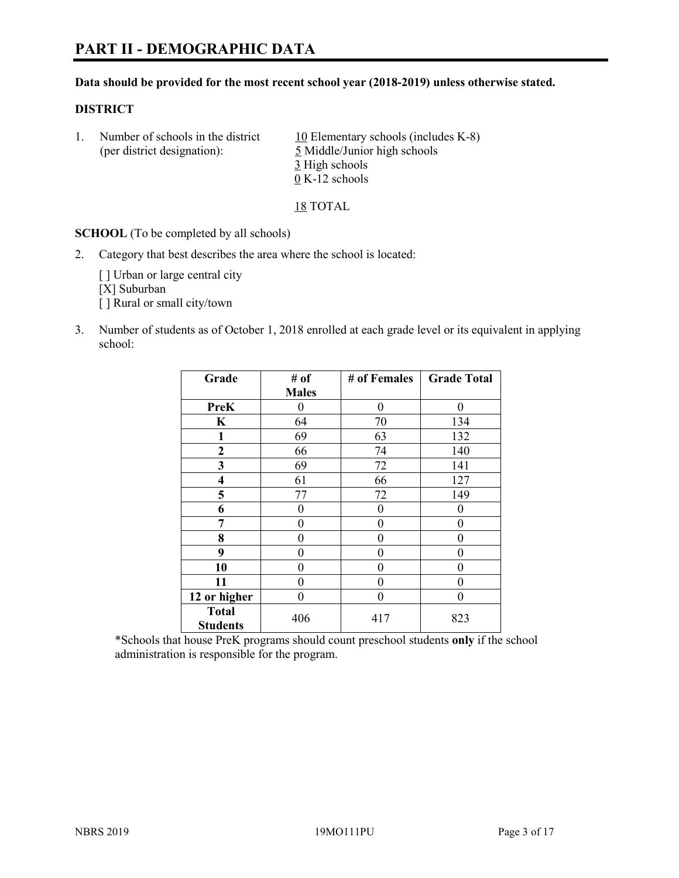# **PART II - DEMOGRAPHIC DATA**

#### **Data should be provided for the most recent school year (2018-2019) unless otherwise stated.**

#### **DISTRICT**

1. Number of schools in the district  $10$  Elementary schools (includes K-8) (per district designation): 5 Middle/Junior high schools 3 High schools 0 K-12 schools

18 TOTAL

**SCHOOL** (To be completed by all schools)

2. Category that best describes the area where the school is located:

[ ] Urban or large central city [X] Suburban [] Rural or small city/town

3. Number of students as of October 1, 2018 enrolled at each grade level or its equivalent in applying school:

| Grade                           | # of         | # of Females | <b>Grade Total</b> |
|---------------------------------|--------------|--------------|--------------------|
|                                 | <b>Males</b> |              |                    |
| <b>PreK</b>                     | 0            | $\theta$     | 0                  |
| K                               | 64           | 70           | 134                |
| 1                               | 69           | 63           | 132                |
| $\mathbf{2}$                    | 66           | 74           | 140                |
| 3                               | 69           | 72           | 141                |
| $\overline{\mathbf{4}}$         | 61           | 66           | 127                |
| 5                               | 77           | 72           | 149                |
| 6                               | 0            | $\theta$     | 0                  |
| 7                               | 0            | $\theta$     | 0                  |
| 8                               | 0            | 0            | 0                  |
| 9                               | 0            | $\theta$     | 0                  |
| 10                              | 0            | $\theta$     | 0                  |
| 11                              | 0            | $\theta$     | 0                  |
| 12 or higher                    | 0            | $\theta$     | 0                  |
| <b>Total</b><br><b>Students</b> | 406          | 417          | 823                |

\*Schools that house PreK programs should count preschool students **only** if the school administration is responsible for the program.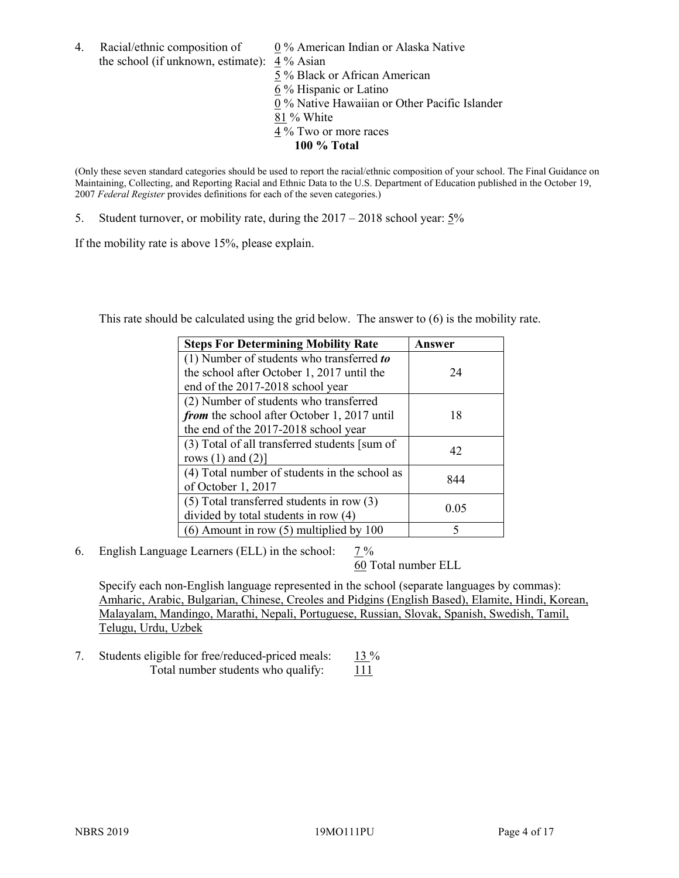4. Racial/ethnic composition of  $0\%$  American Indian or Alaska Native the school (if unknown, estimate): 4 % Asian

 % Black or African American % Hispanic or Latino % Native Hawaiian or Other Pacific Islander 81 % White % Two or more races **100 % Total**

(Only these seven standard categories should be used to report the racial/ethnic composition of your school. The Final Guidance on Maintaining, Collecting, and Reporting Racial and Ethnic Data to the U.S. Department of Education published in the October 19, 2007 *Federal Register* provides definitions for each of the seven categories.)

5. Student turnover, or mobility rate, during the 2017 – 2018 school year: 5%

If the mobility rate is above 15%, please explain.

This rate should be calculated using the grid below. The answer to (6) is the mobility rate.

| <b>Steps For Determining Mobility Rate</b>    | Answer |
|-----------------------------------------------|--------|
| (1) Number of students who transferred to     |        |
| the school after October 1, 2017 until the    | 24     |
| end of the 2017-2018 school year              |        |
| (2) Number of students who transferred        |        |
| from the school after October 1, 2017 until   | 18     |
| the end of the 2017-2018 school year          |        |
| (3) Total of all transferred students [sum of | 42     |
| rows $(1)$ and $(2)$ ]                        |        |
| (4) Total number of students in the school as |        |
| of October 1, 2017                            | 844    |
| $(5)$ Total transferred students in row $(3)$ |        |
| divided by total students in row (4)          | 0.05   |
| $(6)$ Amount in row $(5)$ multiplied by 100   | 5      |

6. English Language Learners (ELL) in the school: 7 %

60 Total number ELL

Specify each non-English language represented in the school (separate languages by commas): Amharic, Arabic, Bulgarian, Chinese, Creoles and Pidgins (English Based), Elamite, Hindi, Korean, Malayalam, Mandingo, Marathi, Nepali, Portuguese, Russian, Slovak, Spanish, Swedish, Tamil, Telugu, Urdu, Uzbek

7. Students eligible for free/reduced-priced meals: 13 % Total number students who qualify:  $111$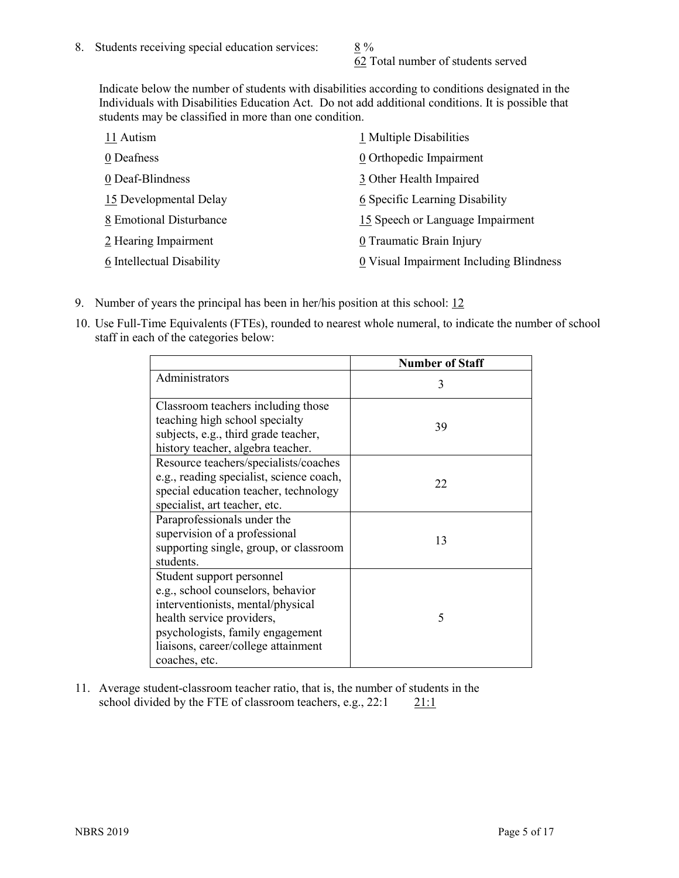62 Total number of students served

Indicate below the number of students with disabilities according to conditions designated in the Individuals with Disabilities Education Act. Do not add additional conditions. It is possible that students may be classified in more than one condition.

| 11 Autism                 | 1 Multiple Disabilities                 |
|---------------------------|-----------------------------------------|
| 0 Deafness                | 0 Orthopedic Impairment                 |
| 0 Deaf-Blindness          | 3 Other Health Impaired                 |
| 15 Developmental Delay    | 6 Specific Learning Disability          |
| 8 Emotional Disturbance   | 15 Speech or Language Impairment        |
| 2 Hearing Impairment      | 0 Traumatic Brain Injury                |
| 6 Intellectual Disability | 0 Visual Impairment Including Blindness |

- 9. Number of years the principal has been in her/his position at this school: 12
- 10. Use Full-Time Equivalents (FTEs), rounded to nearest whole numeral, to indicate the number of school staff in each of the categories below:

|                                                                                                                                                                                                                              | <b>Number of Staff</b> |
|------------------------------------------------------------------------------------------------------------------------------------------------------------------------------------------------------------------------------|------------------------|
| Administrators                                                                                                                                                                                                               | 3                      |
| Classroom teachers including those<br>teaching high school specialty<br>subjects, e.g., third grade teacher,<br>history teacher, algebra teacher.                                                                            | 39                     |
| Resource teachers/specialists/coaches<br>e.g., reading specialist, science coach,<br>special education teacher, technology<br>specialist, art teacher, etc.                                                                  | 22                     |
| Paraprofessionals under the<br>supervision of a professional<br>supporting single, group, or classroom<br>students.                                                                                                          | 13                     |
| Student support personnel<br>e.g., school counselors, behavior<br>interventionists, mental/physical<br>health service providers,<br>psychologists, family engagement<br>liaisons, career/college attainment<br>coaches, etc. | 5                      |

11. Average student-classroom teacher ratio, that is, the number of students in the school divided by the FTE of classroom teachers, e.g.,  $22:1$  21:1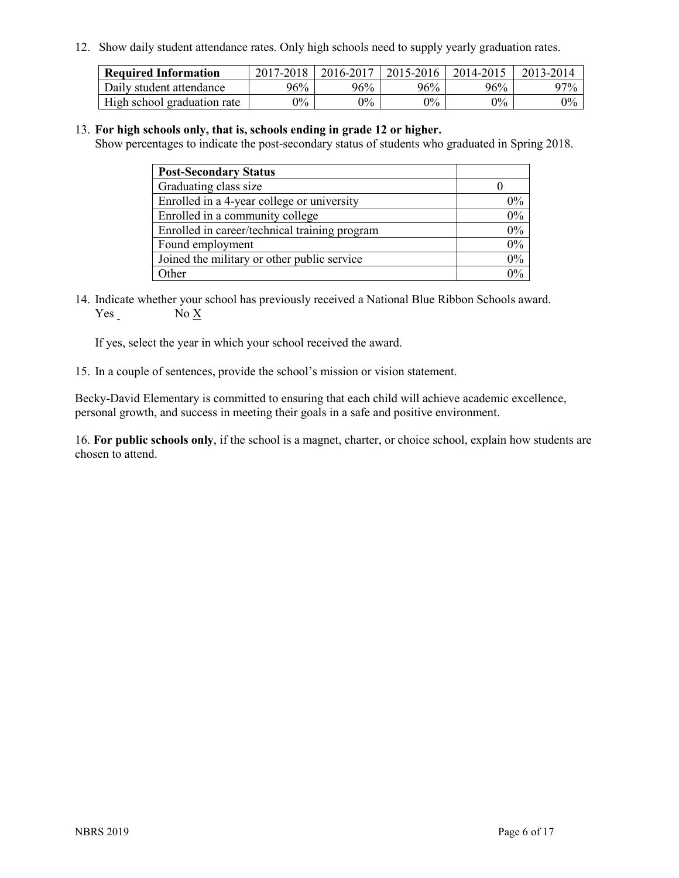12. Show daily student attendance rates. Only high schools need to supply yearly graduation rates.

| <b>Required Information</b> | 2017-2018 | 2016-2017 | $2015 - 2016$ | 2014-2015 | 2013-2014 |
|-----------------------------|-----------|-----------|---------------|-----------|-----------|
| Daily student attendance    | 96%       | 96%       | 96%           | 96%       | $97\%$    |
| High school graduation rate | $0\%$     | $0\%$     | $0\%$         | $9\%$     | $0\%$     |

#### 13. **For high schools only, that is, schools ending in grade 12 or higher.**

Show percentages to indicate the post-secondary status of students who graduated in Spring 2018.

| <b>Post-Secondary Status</b>                  |       |
|-----------------------------------------------|-------|
| Graduating class size                         |       |
| Enrolled in a 4-year college or university    | $0\%$ |
| Enrolled in a community college               | 0%    |
| Enrolled in career/technical training program | 0%    |
| Found employment                              | 0%    |
| Joined the military or other public service   | $0\%$ |
| Other                                         | $0\%$ |

14. Indicate whether your school has previously received a National Blue Ribbon Schools award. Yes No X

If yes, select the year in which your school received the award.

15. In a couple of sentences, provide the school's mission or vision statement.

Becky-David Elementary is committed to ensuring that each child will achieve academic excellence, personal growth, and success in meeting their goals in a safe and positive environment.

16. **For public schools only**, if the school is a magnet, charter, or choice school, explain how students are chosen to attend.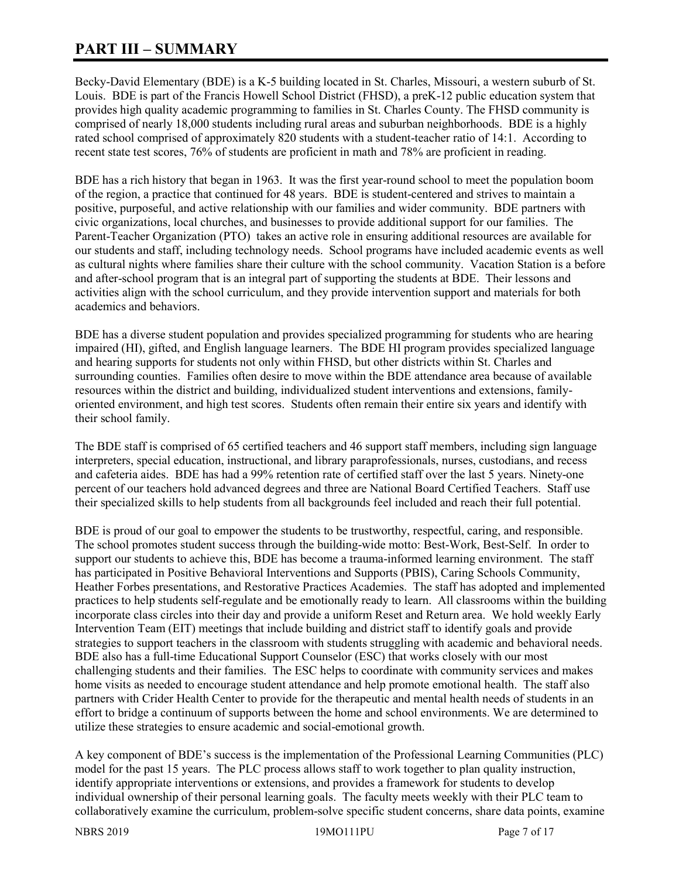# **PART III – SUMMARY**

Becky-David Elementary (BDE) is a K-5 building located in St. Charles, Missouri, a western suburb of St. Louis. BDE is part of the Francis Howell School District (FHSD), a preK-12 public education system that provides high quality academic programming to families in St. Charles County. The FHSD community is comprised of nearly 18,000 students including rural areas and suburban neighborhoods. BDE is a highly rated school comprised of approximately 820 students with a student-teacher ratio of 14:1. According to recent state test scores, 76% of students are proficient in math and 78% are proficient in reading.

BDE has a rich history that began in 1963. It was the first year-round school to meet the population boom of the region, a practice that continued for 48 years. BDE is student-centered and strives to maintain a positive, purposeful, and active relationship with our families and wider community. BDE partners with civic organizations, local churches, and businesses to provide additional support for our families. The Parent-Teacher Organization (PTO) takes an active role in ensuring additional resources are available for our students and staff, including technology needs. School programs have included academic events as well as cultural nights where families share their culture with the school community. Vacation Station is a before and after-school program that is an integral part of supporting the students at BDE. Their lessons and activities align with the school curriculum, and they provide intervention support and materials for both academics and behaviors.

BDE has a diverse student population and provides specialized programming for students who are hearing impaired (HI), gifted, and English language learners. The BDE HI program provides specialized language and hearing supports for students not only within FHSD, but other districts within St. Charles and surrounding counties. Families often desire to move within the BDE attendance area because of available resources within the district and building, individualized student interventions and extensions, familyoriented environment, and high test scores. Students often remain their entire six years and identify with their school family.

The BDE staff is comprised of 65 certified teachers and 46 support staff members, including sign language interpreters, special education, instructional, and library paraprofessionals, nurses, custodians, and recess and cafeteria aides. BDE has had a 99% retention rate of certified staff over the last 5 years. Ninety-one percent of our teachers hold advanced degrees and three are National Board Certified Teachers. Staff use their specialized skills to help students from all backgrounds feel included and reach their full potential.

BDE is proud of our goal to empower the students to be trustworthy, respectful, caring, and responsible. The school promotes student success through the building-wide motto: Best-Work, Best-Self. In order to support our students to achieve this, BDE has become a trauma-informed learning environment. The staff has participated in Positive Behavioral Interventions and Supports (PBIS), Caring Schools Community, Heather Forbes presentations, and Restorative Practices Academies. The staff has adopted and implemented practices to help students self-regulate and be emotionally ready to learn. All classrooms within the building incorporate class circles into their day and provide a uniform Reset and Return area. We hold weekly Early Intervention Team (EIT) meetings that include building and district staff to identify goals and provide strategies to support teachers in the classroom with students struggling with academic and behavioral needs. BDE also has a full-time Educational Support Counselor (ESC) that works closely with our most challenging students and their families. The ESC helps to coordinate with community services and makes home visits as needed to encourage student attendance and help promote emotional health. The staff also partners with Crider Health Center to provide for the therapeutic and mental health needs of students in an effort to bridge a continuum of supports between the home and school environments. We are determined to utilize these strategies to ensure academic and social-emotional growth.

A key component of BDE's success is the implementation of the Professional Learning Communities (PLC) model for the past 15 years. The PLC process allows staff to work together to plan quality instruction, identify appropriate interventions or extensions, and provides a framework for students to develop individual ownership of their personal learning goals. The faculty meets weekly with their PLC team to collaboratively examine the curriculum, problem-solve specific student concerns, share data points, examine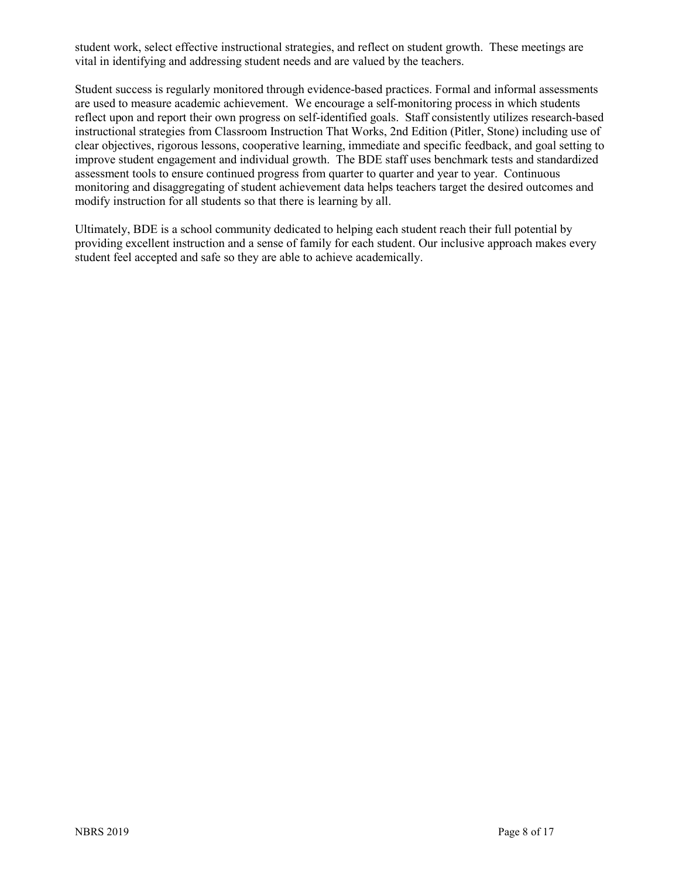student work, select effective instructional strategies, and reflect on student growth. These meetings are vital in identifying and addressing student needs and are valued by the teachers.

Student success is regularly monitored through evidence-based practices. Formal and informal assessments are used to measure academic achievement. We encourage a self-monitoring process in which students reflect upon and report their own progress on self-identified goals. Staff consistently utilizes research-based instructional strategies from Classroom Instruction That Works, 2nd Edition (Pitler, Stone) including use of clear objectives, rigorous lessons, cooperative learning, immediate and specific feedback, and goal setting to improve student engagement and individual growth. The BDE staff uses benchmark tests and standardized assessment tools to ensure continued progress from quarter to quarter and year to year. Continuous monitoring and disaggregating of student achievement data helps teachers target the desired outcomes and modify instruction for all students so that there is learning by all.

Ultimately, BDE is a school community dedicated to helping each student reach their full potential by providing excellent instruction and a sense of family for each student. Our inclusive approach makes every student feel accepted and safe so they are able to achieve academically.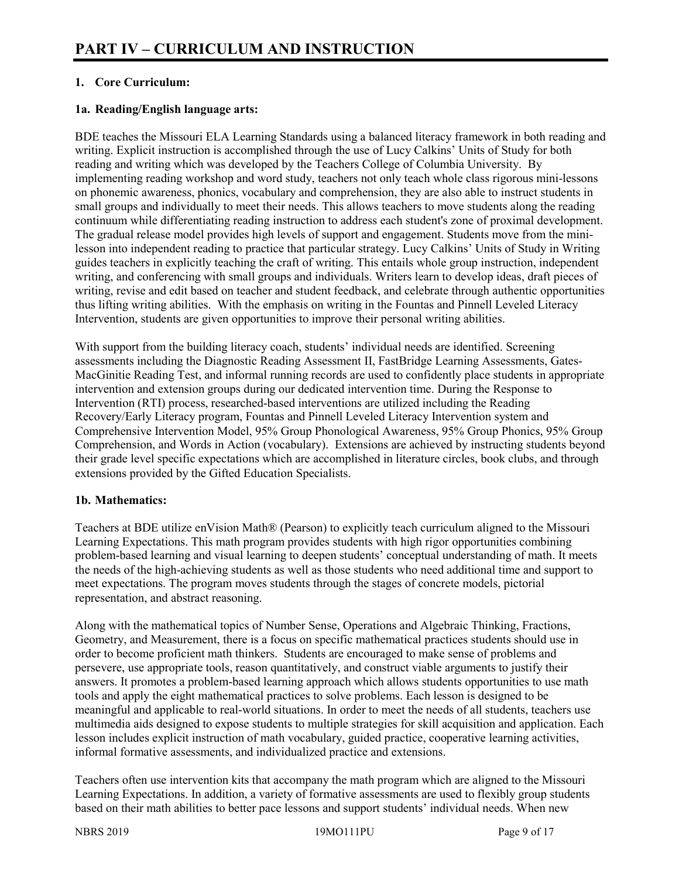# **1. Core Curriculum:**

## **1a. Reading/English language arts:**

BDE teaches the Missouri ELA Learning Standards using a balanced literacy framework in both reading and writing. Explicit instruction is accomplished through the use of Lucy Calkins' Units of Study for both reading and writing which was developed by the Teachers College of Columbia University. By implementing reading workshop and word study, teachers not only teach whole class rigorous mini-lessons on phonemic awareness, phonics, vocabulary and comprehension, they are also able to instruct students in small groups and individually to meet their needs. This allows teachers to move students along the reading continuum while differentiating reading instruction to address each student's zone of proximal development. The gradual release model provides high levels of support and engagement. Students move from the minilesson into independent reading to practice that particular strategy. Lucy Calkins' Units of Study in Writing guides teachers in explicitly teaching the craft of writing. This entails whole group instruction, independent writing, and conferencing with small groups and individuals. Writers learn to develop ideas, draft pieces of writing, revise and edit based on teacher and student feedback, and celebrate through authentic opportunities thus lifting writing abilities. With the emphasis on writing in the Fountas and Pinnell Leveled Literacy Intervention, students are given opportunities to improve their personal writing abilities.

With support from the building literacy coach, students' individual needs are identified. Screening assessments including the Diagnostic Reading Assessment II, FastBridge Learning Assessments, Gates-MacGinitie Reading Test, and informal running records are used to confidently place students in appropriate intervention and extension groups during our dedicated intervention time. During the Response to Intervention (RTI) process, researched-based interventions are utilized including the Reading Recovery/Early Literacy program, Fountas and Pinnell Leveled Literacy Intervention system and Comprehensive Intervention Model, 95% Group Phonological Awareness, 95% Group Phonics, 95% Group Comprehension, and Words in Action (vocabulary). Extensions are achieved by instructing students beyond their grade level specific expectations which are accomplished in literature circles, book clubs, and through extensions provided by the Gifted Education Specialists.

# **1b. Mathematics:**

Teachers at BDE utilize enVision Math® (Pearson) to explicitly teach curriculum aligned to the Missouri Learning Expectations. This math program provides students with high rigor opportunities combining problem-based learning and visual learning to deepen students' conceptual understanding of math. It meets the needs of the high-achieving students as well as those students who need additional time and support to meet expectations. The program moves students through the stages of concrete models, pictorial representation, and abstract reasoning.

Along with the mathematical topics of Number Sense, Operations and Algebraic Thinking, Fractions, Geometry, and Measurement, there is a focus on specific mathematical practices students should use in order to become proficient math thinkers. Students are encouraged to make sense of problems and persevere, use appropriate tools, reason quantitatively, and construct viable arguments to justify their answers. It promotes a problem-based learning approach which allows students opportunities to use math tools and apply the eight mathematical practices to solve problems. Each lesson is designed to be meaningful and applicable to real-world situations. In order to meet the needs of all students, teachers use multimedia aids designed to expose students to multiple strategies for skill acquisition and application. Each lesson includes explicit instruction of math vocabulary, guided practice, cooperative learning activities, informal formative assessments, and individualized practice and extensions.

Teachers often use intervention kits that accompany the math program which are aligned to the Missouri Learning Expectations. In addition, a variety of formative assessments are used to flexibly group students based on their math abilities to better pace lessons and support students' individual needs. When new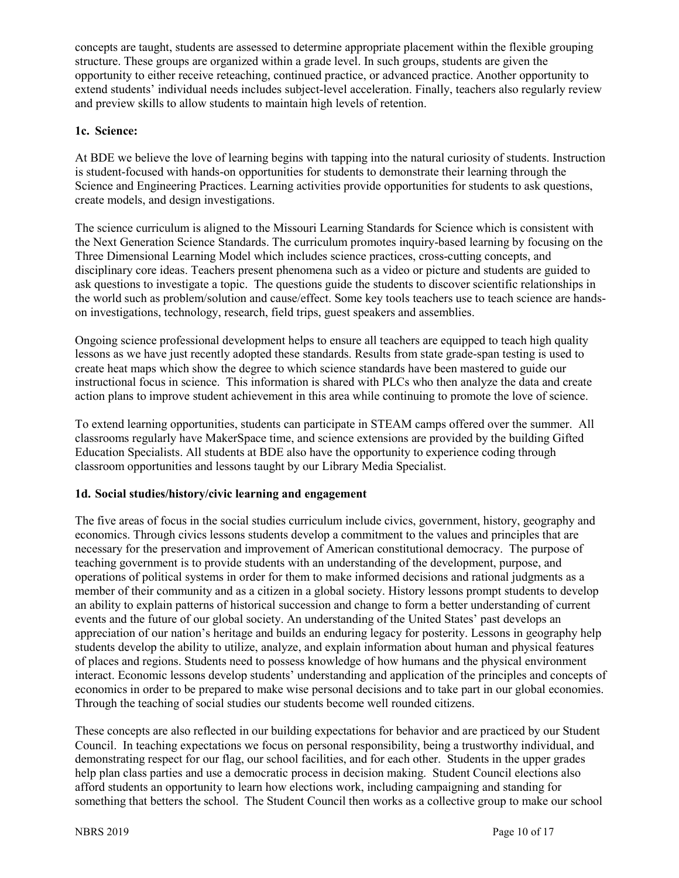concepts are taught, students are assessed to determine appropriate placement within the flexible grouping structure. These groups are organized within a grade level. In such groups, students are given the opportunity to either receive reteaching, continued practice, or advanced practice. Another opportunity to extend students' individual needs includes subject-level acceleration. Finally, teachers also regularly review and preview skills to allow students to maintain high levels of retention.

# **1c. Science:**

At BDE we believe the love of learning begins with tapping into the natural curiosity of students. Instruction is student-focused with hands-on opportunities for students to demonstrate their learning through the Science and Engineering Practices. Learning activities provide opportunities for students to ask questions, create models, and design investigations.

The science curriculum is aligned to the Missouri Learning Standards for Science which is consistent with the Next Generation Science Standards. The curriculum promotes inquiry-based learning by focusing on the Three Dimensional Learning Model which includes science practices, cross-cutting concepts, and disciplinary core ideas. Teachers present phenomena such as a video or picture and students are guided to ask questions to investigate a topic. The questions guide the students to discover scientific relationships in the world such as problem/solution and cause/effect. Some key tools teachers use to teach science are handson investigations, technology, research, field trips, guest speakers and assemblies.

Ongoing science professional development helps to ensure all teachers are equipped to teach high quality lessons as we have just recently adopted these standards. Results from state grade-span testing is used to create heat maps which show the degree to which science standards have been mastered to guide our instructional focus in science. This information is shared with PLCs who then analyze the data and create action plans to improve student achievement in this area while continuing to promote the love of science.

To extend learning opportunities, students can participate in STEAM camps offered over the summer. All classrooms regularly have MakerSpace time, and science extensions are provided by the building Gifted Education Specialists. All students at BDE also have the opportunity to experience coding through classroom opportunities and lessons taught by our Library Media Specialist.

# **1d. Social studies/history/civic learning and engagement**

The five areas of focus in the social studies curriculum include civics, government, history, geography and economics. Through civics lessons students develop a commitment to the values and principles that are necessary for the preservation and improvement of American constitutional democracy. The purpose of teaching government is to provide students with an understanding of the development, purpose, and operations of political systems in order for them to make informed decisions and rational judgments as a member of their community and as a citizen in a global society. History lessons prompt students to develop an ability to explain patterns of historical succession and change to form a better understanding of current events and the future of our global society. An understanding of the United States' past develops an appreciation of our nation's heritage and builds an enduring legacy for posterity. Lessons in geography help students develop the ability to utilize, analyze, and explain information about human and physical features of places and regions. Students need to possess knowledge of how humans and the physical environment interact. Economic lessons develop students' understanding and application of the principles and concepts of economics in order to be prepared to make wise personal decisions and to take part in our global economies. Through the teaching of social studies our students become well rounded citizens.

These concepts are also reflected in our building expectations for behavior and are practiced by our Student Council. In teaching expectations we focus on personal responsibility, being a trustworthy individual, and demonstrating respect for our flag, our school facilities, and for each other. Students in the upper grades help plan class parties and use a democratic process in decision making. Student Council elections also afford students an opportunity to learn how elections work, including campaigning and standing for something that betters the school. The Student Council then works as a collective group to make our school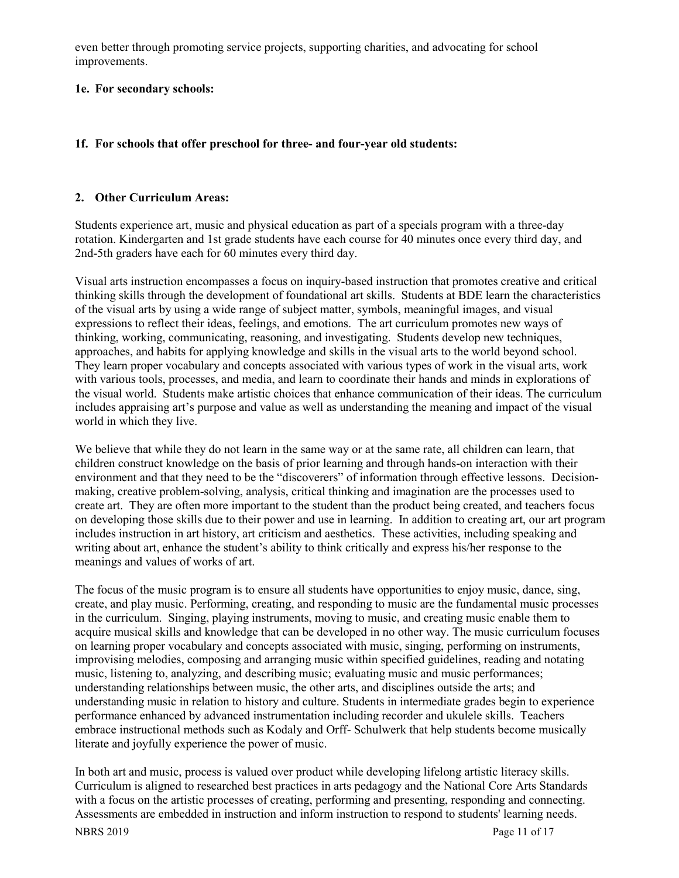even better through promoting service projects, supporting charities, and advocating for school improvements.

#### **1e. For secondary schools:**

## **1f. For schools that offer preschool for three- and four-year old students:**

#### **2. Other Curriculum Areas:**

Students experience art, music and physical education as part of a specials program with a three-day rotation. Kindergarten and 1st grade students have each course for 40 minutes once every third day, and 2nd-5th graders have each for 60 minutes every third day.

Visual arts instruction encompasses a focus on inquiry-based instruction that promotes creative and critical thinking skills through the development of foundational art skills. Students at BDE learn the characteristics of the visual arts by using a wide range of subject matter, symbols, meaningful images, and visual expressions to reflect their ideas, feelings, and emotions. The art curriculum promotes new ways of thinking, working, communicating, reasoning, and investigating. Students develop new techniques, approaches, and habits for applying knowledge and skills in the visual arts to the world beyond school. They learn proper vocabulary and concepts associated with various types of work in the visual arts, work with various tools, processes, and media, and learn to coordinate their hands and minds in explorations of the visual world. Students make artistic choices that enhance communication of their ideas. The curriculum includes appraising art's purpose and value as well as understanding the meaning and impact of the visual world in which they live.

We believe that while they do not learn in the same way or at the same rate, all children can learn, that children construct knowledge on the basis of prior learning and through hands-on interaction with their environment and that they need to be the "discoverers" of information through effective lessons. Decisionmaking, creative problem-solving, analysis, critical thinking and imagination are the processes used to create art. They are often more important to the student than the product being created, and teachers focus on developing those skills due to their power and use in learning. In addition to creating art, our art program includes instruction in art history, art criticism and aesthetics. These activities, including speaking and writing about art, enhance the student's ability to think critically and express his/her response to the meanings and values of works of art.

The focus of the music program is to ensure all students have opportunities to enjoy music, dance, sing, create, and play music. Performing, creating, and responding to music are the fundamental music processes in the curriculum. Singing, playing instruments, moving to music, and creating music enable them to acquire musical skills and knowledge that can be developed in no other way. The music curriculum focuses on learning proper vocabulary and concepts associated with music, singing, performing on instruments, improvising melodies, composing and arranging music within specified guidelines, reading and notating music, listening to, analyzing, and describing music; evaluating music and music performances; understanding relationships between music, the other arts, and disciplines outside the arts; and understanding music in relation to history and culture. Students in intermediate grades begin to experience performance enhanced by advanced instrumentation including recorder and ukulele skills. Teachers embrace instructional methods such as Kodaly and Orff- Schulwerk that help students become musically literate and joyfully experience the power of music.

In both art and music, process is valued over product while developing lifelong artistic literacy skills. Curriculum is aligned to researched best practices in arts pedagogy and the National Core Arts Standards with a focus on the artistic processes of creating, performing and presenting, responding and connecting. Assessments are embedded in instruction and inform instruction to respond to students' learning needs.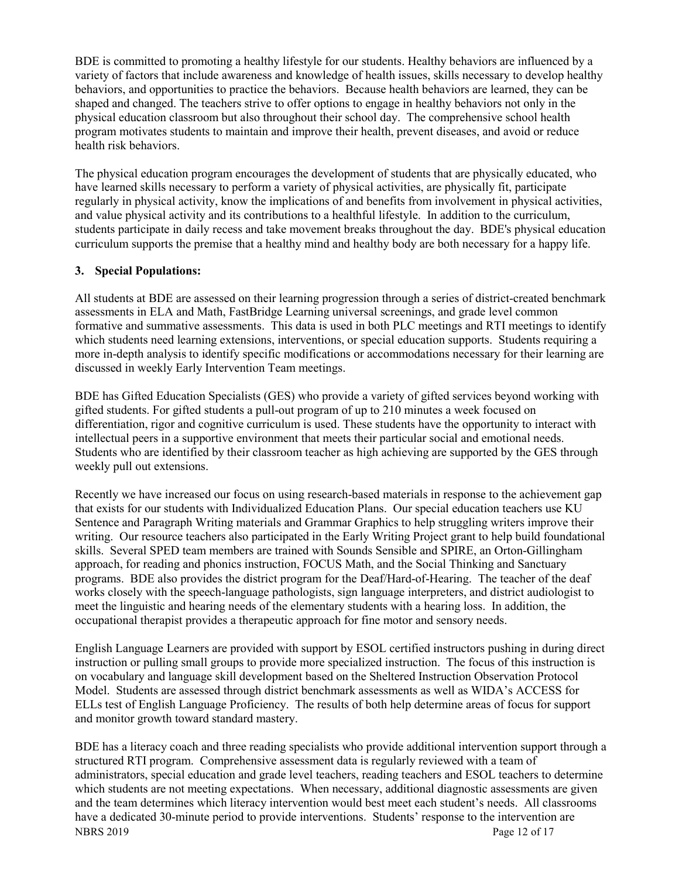BDE is committed to promoting a healthy lifestyle for our students. Healthy behaviors are influenced by a variety of factors that include awareness and knowledge of health issues, skills necessary to develop healthy behaviors, and opportunities to practice the behaviors. Because health behaviors are learned, they can be shaped and changed. The teachers strive to offer options to engage in healthy behaviors not only in the physical education classroom but also throughout their school day. The comprehensive school health program motivates students to maintain and improve their health, prevent diseases, and avoid or reduce health risk behaviors.

The physical education program encourages the development of students that are physically educated, who have learned skills necessary to perform a variety of physical activities, are physically fit, participate regularly in physical activity, know the implications of and benefits from involvement in physical activities, and value physical activity and its contributions to a healthful lifestyle. In addition to the curriculum, students participate in daily recess and take movement breaks throughout the day. BDE's physical education curriculum supports the premise that a healthy mind and healthy body are both necessary for a happy life.

#### **3. Special Populations:**

All students at BDE are assessed on their learning progression through a series of district-created benchmark assessments in ELA and Math, FastBridge Learning universal screenings, and grade level common formative and summative assessments. This data is used in both PLC meetings and RTI meetings to identify which students need learning extensions, interventions, or special education supports. Students requiring a more in-depth analysis to identify specific modifications or accommodations necessary for their learning are discussed in weekly Early Intervention Team meetings.

BDE has Gifted Education Specialists (GES) who provide a variety of gifted services beyond working with gifted students. For gifted students a pull-out program of up to 210 minutes a week focused on differentiation, rigor and cognitive curriculum is used. These students have the opportunity to interact with intellectual peers in a supportive environment that meets their particular social and emotional needs. Students who are identified by their classroom teacher as high achieving are supported by the GES through weekly pull out extensions.

Recently we have increased our focus on using research-based materials in response to the achievement gap that exists for our students with Individualized Education Plans. Our special education teachers use KU Sentence and Paragraph Writing materials and Grammar Graphics to help struggling writers improve their writing. Our resource teachers also participated in the Early Writing Project grant to help build foundational skills. Several SPED team members are trained with Sounds Sensible and SPIRE, an Orton-Gillingham approach, for reading and phonics instruction, FOCUS Math, and the Social Thinking and Sanctuary programs. BDE also provides the district program for the Deaf/Hard-of-Hearing. The teacher of the deaf works closely with the speech-language pathologists, sign language interpreters, and district audiologist to meet the linguistic and hearing needs of the elementary students with a hearing loss. In addition, the occupational therapist provides a therapeutic approach for fine motor and sensory needs.

English Language Learners are provided with support by ESOL certified instructors pushing in during direct instruction or pulling small groups to provide more specialized instruction. The focus of this instruction is on vocabulary and language skill development based on the Sheltered Instruction Observation Protocol Model. Students are assessed through district benchmark assessments as well as WIDA's ACCESS for ELLs test of English Language Proficiency. The results of both help determine areas of focus for support and monitor growth toward standard mastery.

NBRS 2019 Page 12 of 17 BDE has a literacy coach and three reading specialists who provide additional intervention support through a structured RTI program. Comprehensive assessment data is regularly reviewed with a team of administrators, special education and grade level teachers, reading teachers and ESOL teachers to determine which students are not meeting expectations. When necessary, additional diagnostic assessments are given and the team determines which literacy intervention would best meet each student's needs. All classrooms have a dedicated 30-minute period to provide interventions. Students' response to the intervention are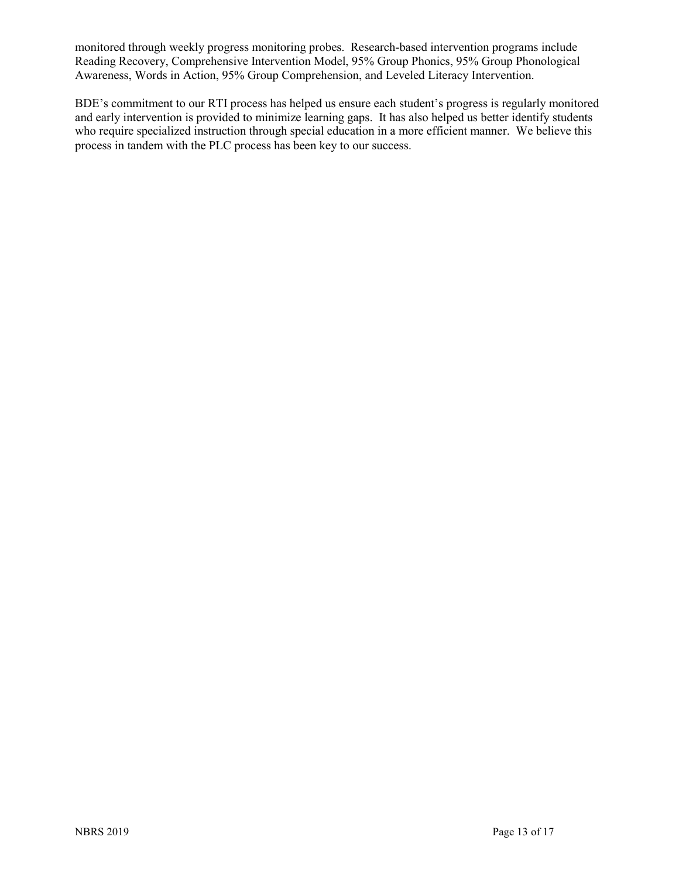monitored through weekly progress monitoring probes. Research-based intervention programs include Reading Recovery, Comprehensive Intervention Model, 95% Group Phonics, 95% Group Phonological Awareness, Words in Action, 95% Group Comprehension, and Leveled Literacy Intervention.

BDE's commitment to our RTI process has helped us ensure each student's progress is regularly monitored and early intervention is provided to minimize learning gaps. It has also helped us better identify students who require specialized instruction through special education in a more efficient manner. We believe this process in tandem with the PLC process has been key to our success.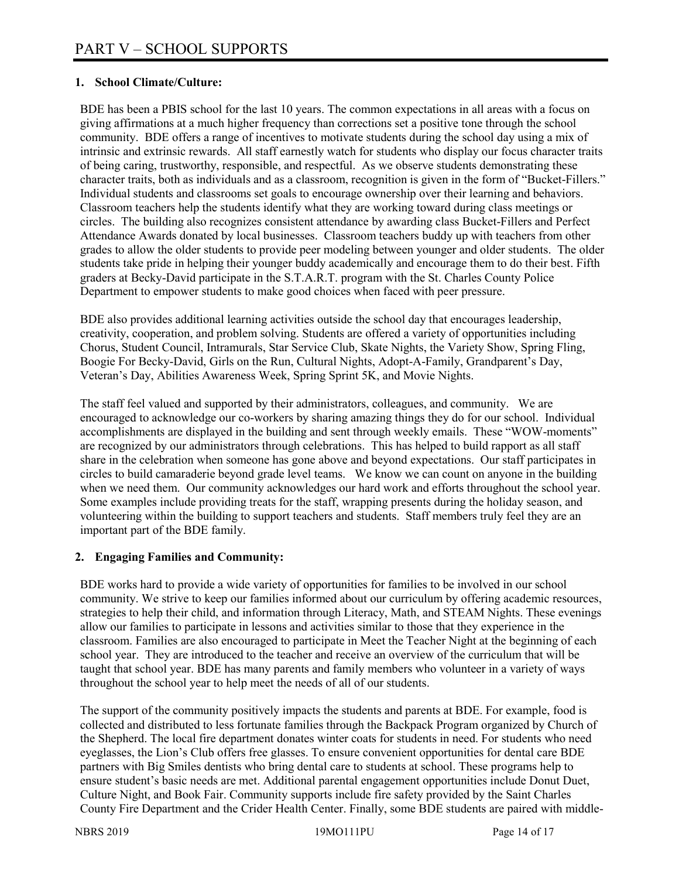## **1. School Climate/Culture:**

BDE has been a PBIS school for the last 10 years. The common expectations in all areas with a focus on giving affirmations at a much higher frequency than corrections set a positive tone through the school community. BDE offers a range of incentives to motivate students during the school day using a mix of intrinsic and extrinsic rewards. All staff earnestly watch for students who display our focus character traits of being caring, trustworthy, responsible, and respectful. As we observe students demonstrating these character traits, both as individuals and as a classroom, recognition is given in the form of "Bucket-Fillers." Individual students and classrooms set goals to encourage ownership over their learning and behaviors. Classroom teachers help the students identify what they are working toward during class meetings or circles. The building also recognizes consistent attendance by awarding class Bucket-Fillers and Perfect Attendance Awards donated by local businesses. Classroom teachers buddy up with teachers from other grades to allow the older students to provide peer modeling between younger and older students. The older students take pride in helping their younger buddy academically and encourage them to do their best. Fifth graders at Becky-David participate in the S.T.A.R.T. program with the St. Charles County Police Department to empower students to make good choices when faced with peer pressure.

BDE also provides additional learning activities outside the school day that encourages leadership, creativity, cooperation, and problem solving. Students are offered a variety of opportunities including Chorus, Student Council, Intramurals, Star Service Club, Skate Nights, the Variety Show, Spring Fling, Boogie For Becky-David, Girls on the Run, Cultural Nights, Adopt-A-Family, Grandparent's Day, Veteran's Day, Abilities Awareness Week, Spring Sprint 5K, and Movie Nights.

The staff feel valued and supported by their administrators, colleagues, and community. We are encouraged to acknowledge our co-workers by sharing amazing things they do for our school. Individual accomplishments are displayed in the building and sent through weekly emails. These "WOW-moments" are recognized by our administrators through celebrations. This has helped to build rapport as all staff share in the celebration when someone has gone above and beyond expectations. Our staff participates in circles to build camaraderie beyond grade level teams. We know we can count on anyone in the building when we need them. Our community acknowledges our hard work and efforts throughout the school year. Some examples include providing treats for the staff, wrapping presents during the holiday season, and volunteering within the building to support teachers and students. Staff members truly feel they are an important part of the BDE family.

#### **2. Engaging Families and Community:**

BDE works hard to provide a wide variety of opportunities for families to be involved in our school community. We strive to keep our families informed about our curriculum by offering academic resources, strategies to help their child, and information through Literacy, Math, and STEAM Nights. These evenings allow our families to participate in lessons and activities similar to those that they experience in the classroom. Families are also encouraged to participate in Meet the Teacher Night at the beginning of each school year. They are introduced to the teacher and receive an overview of the curriculum that will be taught that school year. BDE has many parents and family members who volunteer in a variety of ways throughout the school year to help meet the needs of all of our students.

The support of the community positively impacts the students and parents at BDE. For example, food is collected and distributed to less fortunate families through the Backpack Program organized by Church of the Shepherd. The local fire department donates winter coats for students in need. For students who need eyeglasses, the Lion's Club offers free glasses. To ensure convenient opportunities for dental care BDE partners with Big Smiles dentists who bring dental care to students at school. These programs help to ensure student's basic needs are met. Additional parental engagement opportunities include Donut Duet, Culture Night, and Book Fair. Community supports include fire safety provided by the Saint Charles County Fire Department and the Crider Health Center. Finally, some BDE students are paired with middle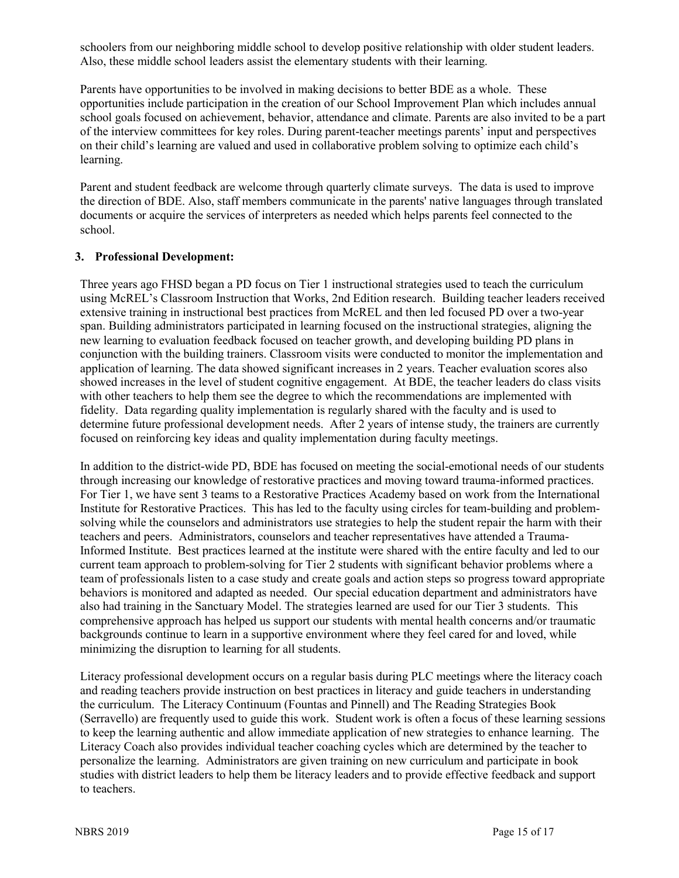schoolers from our neighboring middle school to develop positive relationship with older student leaders. Also, these middle school leaders assist the elementary students with their learning.

Parents have opportunities to be involved in making decisions to better BDE as a whole. These opportunities include participation in the creation of our School Improvement Plan which includes annual school goals focused on achievement, behavior, attendance and climate. Parents are also invited to be a part of the interview committees for key roles. During parent-teacher meetings parents' input and perspectives on their child's learning are valued and used in collaborative problem solving to optimize each child's learning.

Parent and student feedback are welcome through quarterly climate surveys. The data is used to improve the direction of BDE. Also, staff members communicate in the parents' native languages through translated documents or acquire the services of interpreters as needed which helps parents feel connected to the school.

#### **3. Professional Development:**

Three years ago FHSD began a PD focus on Tier 1 instructional strategies used to teach the curriculum using McREL's Classroom Instruction that Works, 2nd Edition research. Building teacher leaders received extensive training in instructional best practices from McREL and then led focused PD over a two-year span. Building administrators participated in learning focused on the instructional strategies, aligning the new learning to evaluation feedback focused on teacher growth, and developing building PD plans in conjunction with the building trainers. Classroom visits were conducted to monitor the implementation and application of learning. The data showed significant increases in 2 years. Teacher evaluation scores also showed increases in the level of student cognitive engagement. At BDE, the teacher leaders do class visits with other teachers to help them see the degree to which the recommendations are implemented with fidelity. Data regarding quality implementation is regularly shared with the faculty and is used to determine future professional development needs. After 2 years of intense study, the trainers are currently focused on reinforcing key ideas and quality implementation during faculty meetings.

In addition to the district-wide PD, BDE has focused on meeting the social-emotional needs of our students through increasing our knowledge of restorative practices and moving toward trauma-informed practices. For Tier 1, we have sent 3 teams to a Restorative Practices Academy based on work from the International Institute for Restorative Practices. This has led to the faculty using circles for team-building and problemsolving while the counselors and administrators use strategies to help the student repair the harm with their teachers and peers. Administrators, counselors and teacher representatives have attended a Trauma-Informed Institute. Best practices learned at the institute were shared with the entire faculty and led to our current team approach to problem-solving for Tier 2 students with significant behavior problems where a team of professionals listen to a case study and create goals and action steps so progress toward appropriate behaviors is monitored and adapted as needed. Our special education department and administrators have also had training in the Sanctuary Model. The strategies learned are used for our Tier 3 students. This comprehensive approach has helped us support our students with mental health concerns and/or traumatic backgrounds continue to learn in a supportive environment where they feel cared for and loved, while minimizing the disruption to learning for all students.

Literacy professional development occurs on a regular basis during PLC meetings where the literacy coach and reading teachers provide instruction on best practices in literacy and guide teachers in understanding the curriculum. The Literacy Continuum (Fountas and Pinnell) and The Reading Strategies Book (Serravello) are frequently used to guide this work. Student work is often a focus of these learning sessions to keep the learning authentic and allow immediate application of new strategies to enhance learning. The Literacy Coach also provides individual teacher coaching cycles which are determined by the teacher to personalize the learning. Administrators are given training on new curriculum and participate in book studies with district leaders to help them be literacy leaders and to provide effective feedback and support to teachers.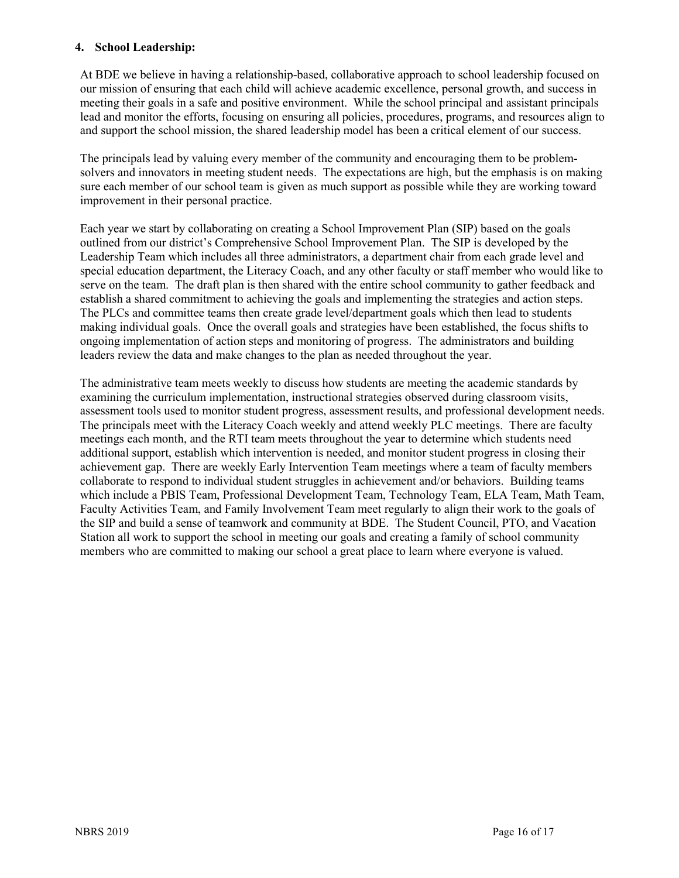#### **4. School Leadership:**

At BDE we believe in having a relationship-based, collaborative approach to school leadership focused on our mission of ensuring that each child will achieve academic excellence, personal growth, and success in meeting their goals in a safe and positive environment. While the school principal and assistant principals lead and monitor the efforts, focusing on ensuring all policies, procedures, programs, and resources align to and support the school mission, the shared leadership model has been a critical element of our success.

The principals lead by valuing every member of the community and encouraging them to be problemsolvers and innovators in meeting student needs. The expectations are high, but the emphasis is on making sure each member of our school team is given as much support as possible while they are working toward improvement in their personal practice.

Each year we start by collaborating on creating a School Improvement Plan (SIP) based on the goals outlined from our district's Comprehensive School Improvement Plan. The SIP is developed by the Leadership Team which includes all three administrators, a department chair from each grade level and special education department, the Literacy Coach, and any other faculty or staff member who would like to serve on the team. The draft plan is then shared with the entire school community to gather feedback and establish a shared commitment to achieving the goals and implementing the strategies and action steps. The PLCs and committee teams then create grade level/department goals which then lead to students making individual goals. Once the overall goals and strategies have been established, the focus shifts to ongoing implementation of action steps and monitoring of progress. The administrators and building leaders review the data and make changes to the plan as needed throughout the year.

The administrative team meets weekly to discuss how students are meeting the academic standards by examining the curriculum implementation, instructional strategies observed during classroom visits, assessment tools used to monitor student progress, assessment results, and professional development needs. The principals meet with the Literacy Coach weekly and attend weekly PLC meetings. There are faculty meetings each month, and the RTI team meets throughout the year to determine which students need additional support, establish which intervention is needed, and monitor student progress in closing their achievement gap. There are weekly Early Intervention Team meetings where a team of faculty members collaborate to respond to individual student struggles in achievement and/or behaviors. Building teams which include a PBIS Team, Professional Development Team, Technology Team, ELA Team, Math Team, Faculty Activities Team, and Family Involvement Team meet regularly to align their work to the goals of the SIP and build a sense of teamwork and community at BDE. The Student Council, PTO, and Vacation Station all work to support the school in meeting our goals and creating a family of school community members who are committed to making our school a great place to learn where everyone is valued.